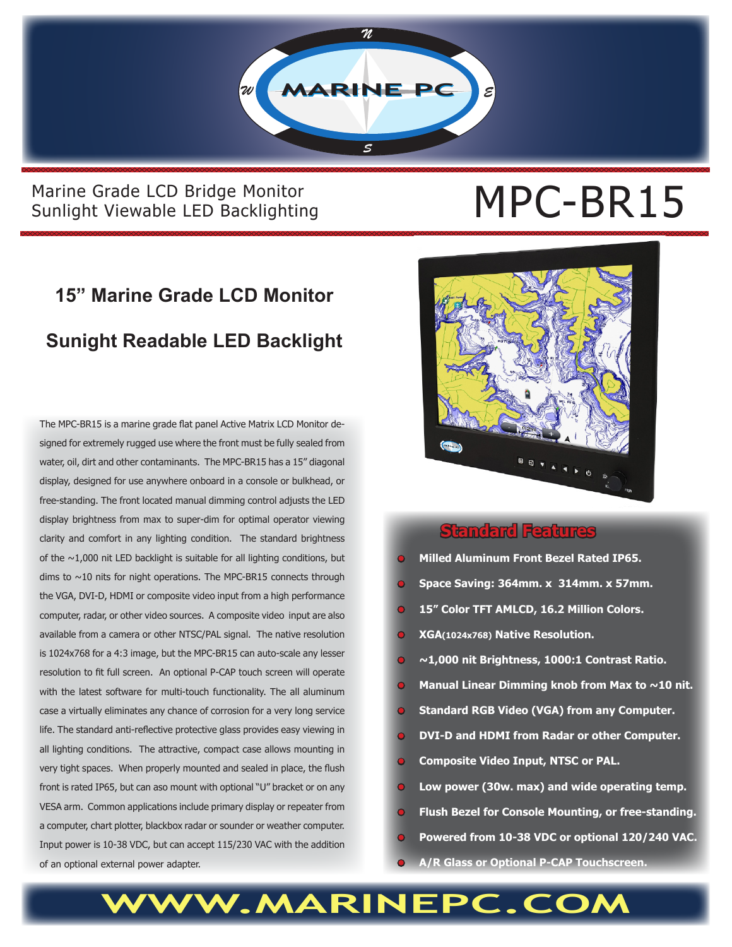

#### Marine Grade LCD Bridge Monitor<br>Sunlight Viewable LED Backlighting<br> **MPC-BR15** Sunlight Viewable LED Backlighting

## **15" Marine Grade LCD Monitor Sunight Readable LED Backlight**

The MPC-BR15 is a marine grade flat panel Active Matrix LCD Monitor designed for extremely rugged use where the front must be fully sealed from water, oil, dirt and other contaminants. The MPC-BR15 has a 15" diagonal display, designed for use anywhere onboard in a console or bulkhead, or free-standing. The front located manual dimming control adjusts the LED display brightness from max to super-dim for optimal operator viewing clarity and comfort in any lighting condition. The standard brightness of the  $\sim$ 1,000 nit LED backlight is suitable for all lighting conditions, but dims to  $\sim$ 10 nits for night operations. The MPC-BR15 connects through the VGA, DVI-D, HDMI or composite video input from a high performance computer, radar, or other video sources. A composite video input are also available from a camera or other NTSC/PAL signal. The native resolution is 1024x768 for a 4:3 image, but the MPC-BR15 can auto-scale any lesser resolution to fit full screen. An optional P-CAP touch screen will operate with the latest software for multi-touch functionality. The all aluminum case a virtually eliminates any chance of corrosion for a very long service life. The standard anti-reflective protective glass provides easy viewing in all lighting conditions. The attractive, compact case allows mounting in very tight spaces. When properly mounted and sealed in place, the flush front is rated IP65, but can aso mount with optional "U" bracket or on any VESA arm. Common applications include primary display or repeater from a computer, chart plotter, blackbox radar or sounder or weather computer. Input power is 10-38 VDC, but can accept 115/230 VAC with the addition of an optional external power adapter.



#### **Standard Features**

- **• Milled Aluminum Front Bezel Rated IP65.**
- **• Space Saving: 364mm. x 314mm. x 57mm.**
- **• 15" Color TFT AMLCD, 16.2 Million Colors.**
- **• XGA(1024x768) Native Resolution.**
- **~1,000 nit Brightness, 1000:1 Contrast Ratio.**
- **Manual Linear Dimming knob from Max to ~10 nit.**
- **• Standard RGB Video (VGA) from any Computer.**
- **• DVI-D and HDMI from Radar or other Computer.**
- **• Composite Video Input, NTSC or PAL.**
- **• Low power (30w. max) and wide operating temp.**
- **• Flush Bezel for Console Mounting, or free-standing.**
- **• Powered from 10-38 VDC or optional 120/240 VAC.**
- **• A/R Glass or Optional P-CAP Touchscreen.**

**WWW.MARINEPC.COM**